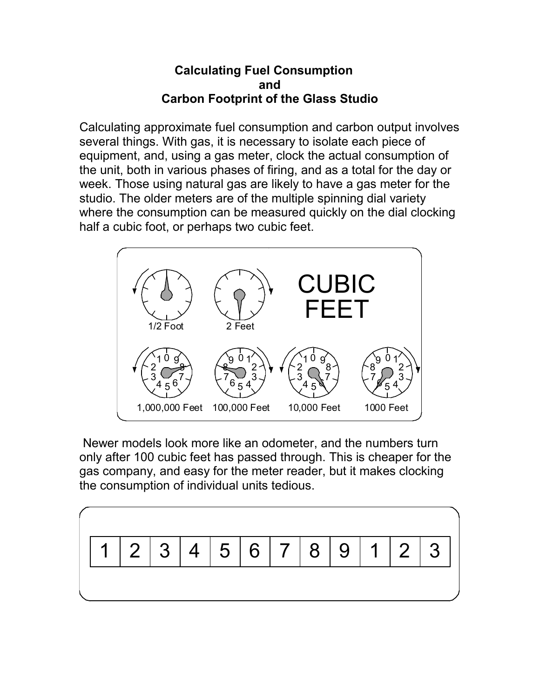## **Calculating Fuel Consumption and Carbon Footprint of the Glass Studio**

Calculating approximate fuel consumption and carbon output involves several things. With gas, it is necessary to isolate each piece of equipment, and, using a gas meter, clock the actual consumption of the unit, both in various phases of firing, and as a total for the day or week. Those using natural gas are likely to have a gas meter for the studio. The older meters are of the multiple spinning dial variety where the consumption can be measured quickly on the dial clocking half a cubic foot, or perhaps two cubic feet.



 Newer models look more like an odometer, and the numbers turn only after 100 cubic feet has passed through. This is cheaper for the gas company, and easy for the meter reader, but it makes clocking the consumption of individual units tedious.

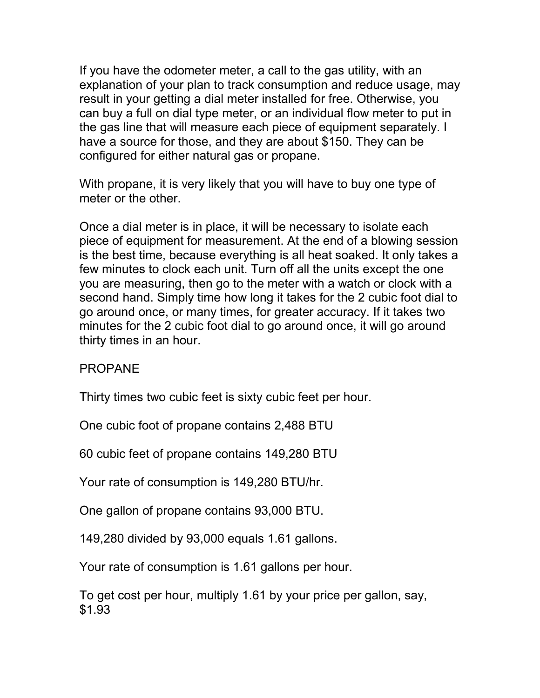If you have the odometer meter, a call to the gas utility, with an explanation of your plan to track consumption and reduce usage, may result in your getting a dial meter installed for free. Otherwise, you can buy a full on dial type meter, or an individual flow meter to put in the gas line that will measure each piece of equipment separately. I have a source for those, and they are about \$150. They can be configured for either natural gas or propane.

With propane, it is very likely that you will have to buy one type of meter or the other.

Once a dial meter is in place, it will be necessary to isolate each piece of equipment for measurement. At the end of a blowing session is the best time, because everything is all heat soaked. It only takes a few minutes to clock each unit. Turn off all the units except the one you are measuring, then go to the meter with a watch or clock with a second hand. Simply time how long it takes for the 2 cubic foot dial to go around once, or many times, for greater accuracy. If it takes two minutes for the 2 cubic foot dial to go around once, it will go around thirty times in an hour.

## PROPANE

Thirty times two cubic feet is sixty cubic feet per hour.

One cubic foot of propane contains 2,488 BTU

60 cubic feet of propane contains 149,280 BTU

Your rate of consumption is 149,280 BTU/hr.

One gallon of propane contains 93,000 BTU.

149,280 divided by 93,000 equals 1.61 gallons.

Your rate of consumption is 1.61 gallons per hour.

To get cost per hour, multiply 1.61 by your price per gallon, say, \$1.93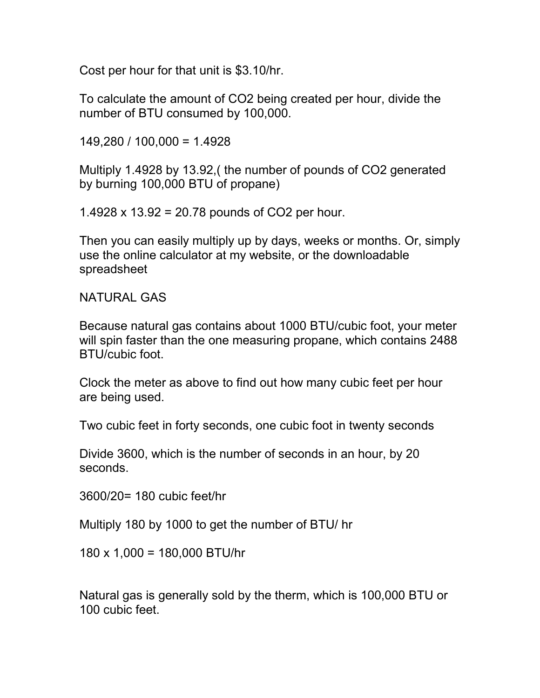Cost per hour for that unit is \$3.10/hr.

To calculate the amount of CO2 being created per hour, divide the number of BTU consumed by 100,000.

149,280 / 100,000 = 1.4928

Multiply 1.4928 by 13.92,( the number of pounds of CO2 generated by burning 100,000 BTU of propane)

1.4928 x 13.92 = 20.78 pounds of CO2 per hour.

Then you can easily multiply up by days, weeks or months. Or, simply use the online calculator at my website, or the downloadable spreadsheet

NATURAL GAS

Because natural gas contains about 1000 BTU/cubic foot, your meter will spin faster than the one measuring propane, which contains 2488 BTU/cubic foot.

Clock the meter as above to find out how many cubic feet per hour are being used.

Two cubic feet in forty seconds, one cubic foot in twenty seconds

Divide 3600, which is the number of seconds in an hour, by 20 seconds.

3600/20= 180 cubic feet/hr

Multiply 180 by 1000 to get the number of BTU/ hr

180 x 1,000 = 180,000 BTU/hr

Natural gas is generally sold by the therm, which is 100,000 BTU or 100 cubic feet.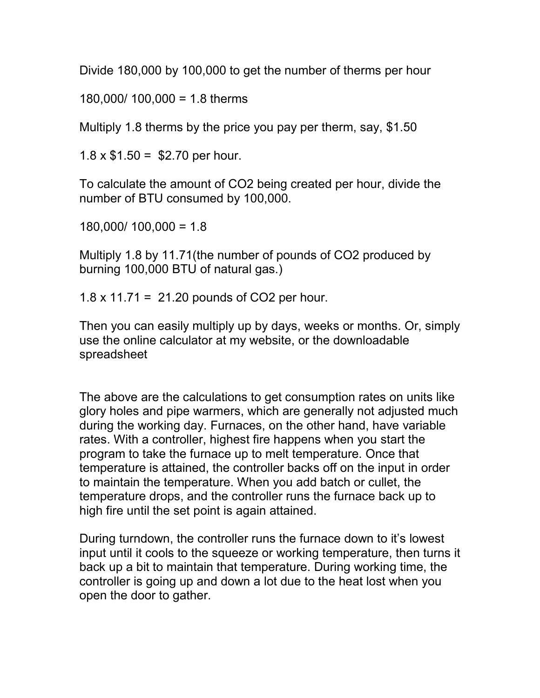Divide 180,000 by 100,000 to get the number of therms per hour

180,000/ 100,000 = 1.8 therms

Multiply 1.8 therms by the price you pay per therm, say, \$1.50

 $1.8 \times $1.50 = $2.70$  per hour.

To calculate the amount of CO2 being created per hour, divide the number of BTU consumed by 100,000.

180,000/ 100,000 = 1.8

Multiply 1.8 by 11.71(the number of pounds of CO2 produced by burning 100,000 BTU of natural gas.)

1.8 x 11.71 = 21.20 pounds of CO2 per hour.

Then you can easily multiply up by days, weeks or months. Or, simply use the online calculator at my website, or the downloadable spreadsheet

The above are the calculations to get consumption rates on units like glory holes and pipe warmers, which are generally not adjusted much during the working day. Furnaces, on the other hand, have variable rates. With a controller, highest fire happens when you start the program to take the furnace up to melt temperature. Once that temperature is attained, the controller backs off on the input in order to maintain the temperature. When you add batch or cullet, the temperature drops, and the controller runs the furnace back up to high fire until the set point is again attained.

During turndown, the controller runs the furnace down to it's lowest input until it cools to the squeeze or working temperature, then turns it back up a bit to maintain that temperature. During working time, the controller is going up and down a lot due to the heat lost when you open the door to gather.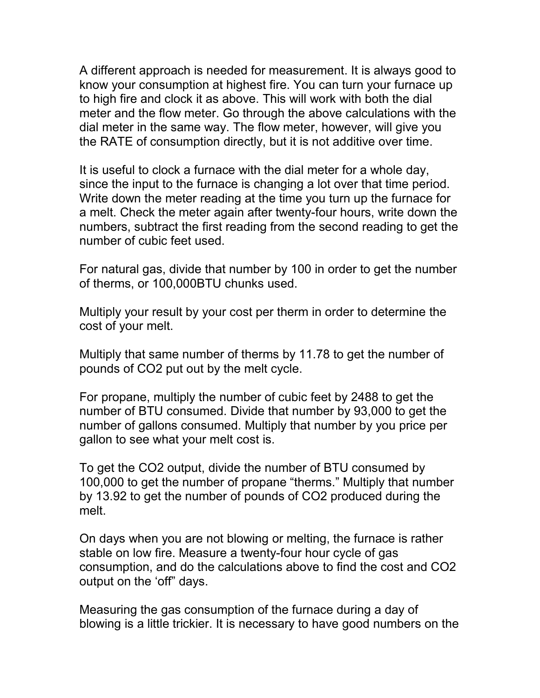A different approach is needed for measurement. It is always good to know your consumption at highest fire. You can turn your furnace up to high fire and clock it as above. This will work with both the dial meter and the flow meter. Go through the above calculations with the dial meter in the same way. The flow meter, however, will give you the RATE of consumption directly, but it is not additive over time.

It is useful to clock a furnace with the dial meter for a whole day, since the input to the furnace is changing a lot over that time period. Write down the meter reading at the time you turn up the furnace for a melt. Check the meter again after twenty-four hours, write down the numbers, subtract the first reading from the second reading to get the number of cubic feet used.

For natural gas, divide that number by 100 in order to get the number of therms, or 100,000BTU chunks used.

Multiply your result by your cost per therm in order to determine the cost of your melt.

Multiply that same number of therms by 11.78 to get the number of pounds of CO2 put out by the melt cycle.

For propane, multiply the number of cubic feet by 2488 to get the number of BTU consumed. Divide that number by 93,000 to get the number of gallons consumed. Multiply that number by you price per gallon to see what your melt cost is.

To get the CO2 output, divide the number of BTU consumed by 100,000 to get the number of propane "therms." Multiply that number by 13.92 to get the number of pounds of CO2 produced during the melt.

On days when you are not blowing or melting, the furnace is rather stable on low fire. Measure a twenty-four hour cycle of gas consumption, and do the calculations above to find the cost and CO2 output on the 'off" days.

Measuring the gas consumption of the furnace during a day of blowing is a little trickier. It is necessary to have good numbers on the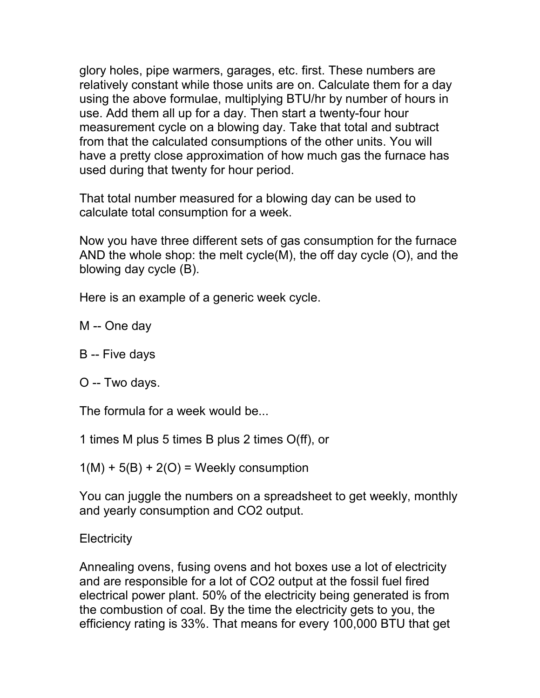glory holes, pipe warmers, garages, etc. first. These numbers are relatively constant while those units are on. Calculate them for a day using the above formulae, multiplying BTU/hr by number of hours in use. Add them all up for a day. Then start a twenty-four hour measurement cycle on a blowing day. Take that total and subtract from that the calculated consumptions of the other units. You will have a pretty close approximation of how much gas the furnace has used during that twenty for hour period.

That total number measured for a blowing day can be used to calculate total consumption for a week.

Now you have three different sets of gas consumption for the furnace AND the whole shop: the melt cycle(M), the off day cycle (O), and the blowing day cycle (B).

Here is an example of a generic week cycle.

M -- One day

B -- Five days

O -- Two days.

The formula for a week would be...

1 times M plus 5 times B plus 2 times O(ff), or

 $1(M) + 5(B) + 2(O) =$  Weekly consumption

You can juggle the numbers on a spreadsheet to get weekly, monthly and yearly consumption and CO2 output.

**Electricity** 

Annealing ovens, fusing ovens and hot boxes use a lot of electricity and are responsible for a lot of CO2 output at the fossil fuel fired electrical power plant. 50% of the electricity being generated is from the combustion of coal. By the time the electricity gets to you, the efficiency rating is 33%. That means for every 100,000 BTU that get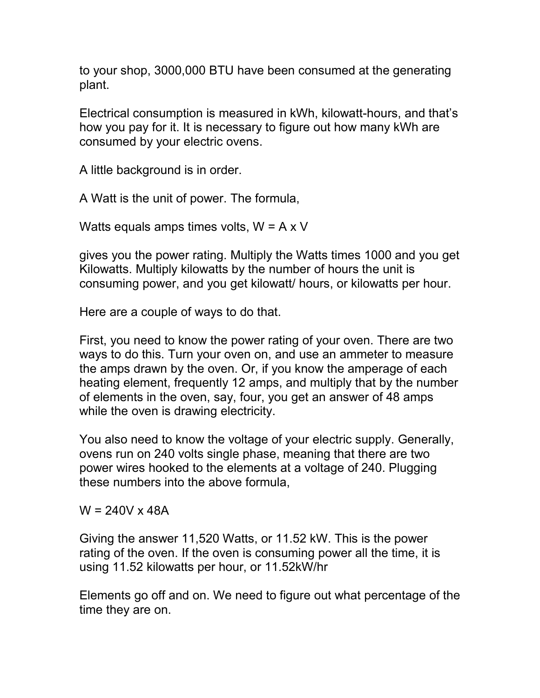to your shop, 3000,000 BTU have been consumed at the generating plant.

Electrical consumption is measured in kWh, kilowatt-hours, and that's how you pay for it. It is necessary to figure out how many kWh are consumed by your electric ovens.

A little background is in order.

A Watt is the unit of power. The formula,

Watts equals amps times volts,  $W = A \times V$ 

gives you the power rating. Multiply the Watts times 1000 and you get Kilowatts. Multiply kilowatts by the number of hours the unit is consuming power, and you get kilowatt/ hours, or kilowatts per hour.

Here are a couple of ways to do that.

First, you need to know the power rating of your oven. There are two ways to do this. Turn your oven on, and use an ammeter to measure the amps drawn by the oven. Or, if you know the amperage of each heating element, frequently 12 amps, and multiply that by the number of elements in the oven, say, four, you get an answer of 48 amps while the oven is drawing electricity.

You also need to know the voltage of your electric supply. Generally, ovens run on 240 volts single phase, meaning that there are two power wires hooked to the elements at a voltage of 240. Plugging these numbers into the above formula,

 $W = 240V \times 48A$ 

Giving the answer 11,520 Watts, or 11.52 kW. This is the power rating of the oven. If the oven is consuming power all the time, it is using 11.52 kilowatts per hour, or 11.52kW/hr

Elements go off and on. We need to figure out what percentage of the time they are on.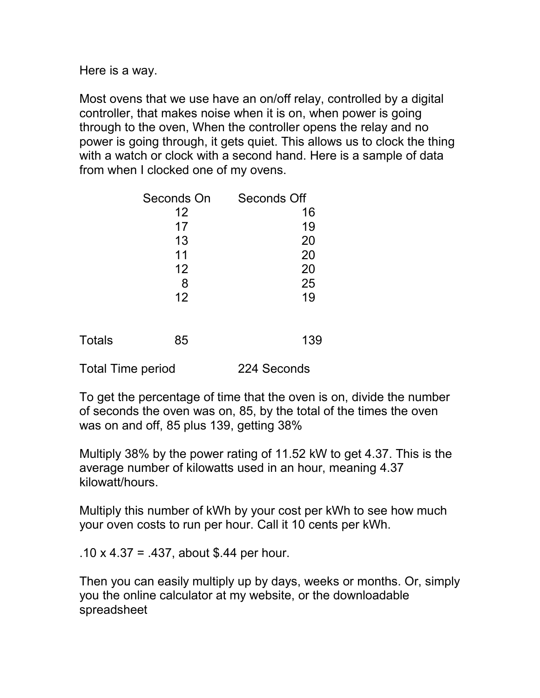Here is a way.

Most ovens that we use have an on/off relay, controlled by a digital controller, that makes noise when it is on, when power is going through to the oven, When the controller opens the relay and no power is going through, it gets quiet. This allows us to clock the thing with a watch or clock with a second hand. Here is a sample of data from when I clocked one of my ovens.

|               | Seconds On | Seconds Off |
|---------------|------------|-------------|
|               | 12         | 16          |
|               | 17         | 19          |
|               | 13         | 20          |
|               | 11         | 20          |
|               | 12         | 20          |
|               | 8          | 25          |
|               | 12         | 19          |
| <b>Totals</b> | 85         | 139         |

Total Time period 224 Seconds

To get the percentage of time that the oven is on, divide the number of seconds the oven was on, 85, by the total of the times the oven was on and off, 85 plus 139, getting 38%

Multiply 38% by the power rating of 11.52 kW to get 4.37. This is the average number of kilowatts used in an hour, meaning 4.37 kilowatt/hours.

Multiply this number of kWh by your cost per kWh to see how much your oven costs to run per hour. Call it 10 cents per kWh.

.10 x 4.37 = .437, about \$.44 per hour.

Then you can easily multiply up by days, weeks or months. Or, simply you the online calculator at my website, or the downloadable spreadsheet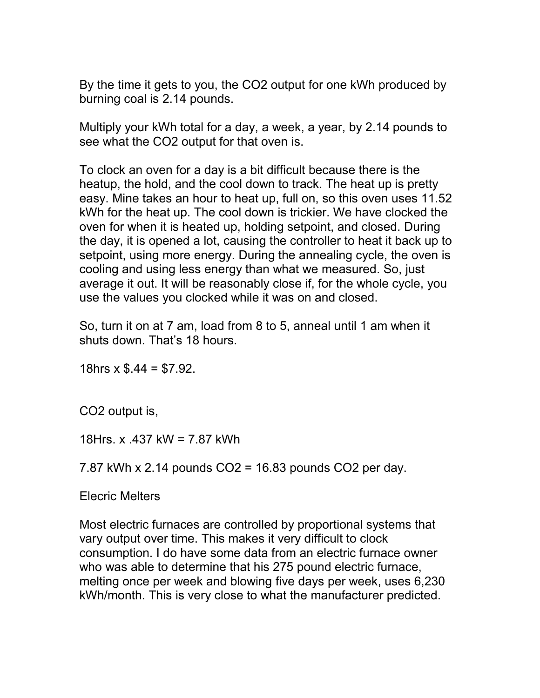By the time it gets to you, the CO2 output for one kWh produced by burning coal is 2.14 pounds.

Multiply your kWh total for a day, a week, a year, by 2.14 pounds to see what the CO2 output for that oven is.

To clock an oven for a day is a bit difficult because there is the heatup, the hold, and the cool down to track. The heat up is pretty easy. Mine takes an hour to heat up, full on, so this oven uses 11.52 kWh for the heat up. The cool down is trickier. We have clocked the oven for when it is heated up, holding setpoint, and closed. During the day, it is opened a lot, causing the controller to heat it back up to setpoint, using more energy. During the annealing cycle, the oven is cooling and using less energy than what we measured. So, just average it out. It will be reasonably close if, for the whole cycle, you use the values you clocked while it was on and closed.

So, turn it on at 7 am, load from 8 to 5, anneal until 1 am when it shuts down. That's 18 hours.

18hrs  $x$  \$.44 = \$7.92.

CO2 output is,

18Hrs. x .437 kW = 7.87 kWh

7.87 kWh x 2.14 pounds CO2 = 16.83 pounds CO2 per day.

Elecric Melters

Most electric furnaces are controlled by proportional systems that vary output over time. This makes it very difficult to clock consumption. I do have some data from an electric furnace owner who was able to determine that his 275 pound electric furnace, melting once per week and blowing five days per week, uses 6,230 kWh/month. This is very close to what the manufacturer predicted.